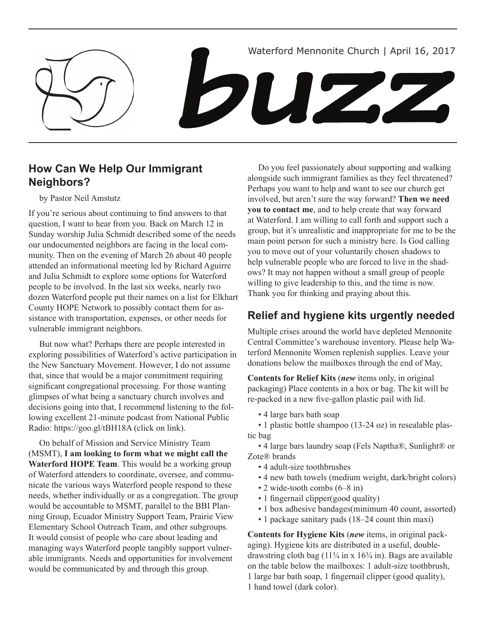

## **How Can We Help Our Immigrant Neighbors?**

by Pastor Neil Amstutz

If you're serious about continuing to find answers to that question, I want to hear from you. Back on March 12 in Sunday worship Julia Schmidt described some of the needs our undocumented neighbors are facing in the local community. Then on the evening of March 26 about 40 people attended an informational meeting led by Richard Aguirre and Julia Schmidt to explore some options for Waterford people to be involved. In the last six weeks, nearly two dozen Waterford people put their names on a list for Elkhart County HOPE Network to possibly contact them for assistance with transportation, expenses, or other needs for vulnerable immigrant neighbors.

But now what? Perhaps there are people interested in exploring possibilities of Waterford's active participation in the New Sanctuary Movement. However, I do not assume that, since that would be a major commitment requiring significant congregational processing. For those wanting glimpses of what being a sanctuary church involves and decisions going into that, I recommend listening to the following excellent 21-minute podcast from National Public Radio: https://goo.gl/tBH18A (click on link).

On behalf of Mission and Service Ministry Team (MSMT), **I am looking to form what we might call the Waterford HOPE Team**. This would be a working group of Waterford attenders to coordinate, oversee, and communicate the various ways Waterford people respond to these needs, whether individually or as a congregation. The group would be accountable to MSMT, parallel to the BBI Planning Group, Ecuador Ministry Support Team, Prairie View Elementary School Outreach Team, and other subgroups. It would consist of people who care about leading and managing ways Waterford people tangibly support vulnerable immigrants. Needs and opportunities for involvement would be communicated by and through this group.

Do you feel passionately about supporting and walking alongside such immigrant families as they feel threatened? Perhaps you want to help and want to see our church get involved, but aren't sure the way forward? **Then we need you to contact me**, and to help create that way forward at Waterford. I am willing to call forth and support such a group, but it's unrealistic and inappropriate for me to be the main point person for such a ministry here. Is God calling you to move out of your voluntarily chosen shadows to help vulnerable people who are forced to live in the shadows? It may not happen without a small group of people willing to give leadership to this, and the time is now. Thank you for thinking and praying about this.

# **Relief and hygiene kits urgently needed**

Multiple crises around the world have depleted Mennonite Central Committee's warehouse inventory. Please help Waterford Mennonite Women replenish supplies. Leave your donations below the mailboxes through the end of May,

**Contents for Relief Kits** (*new* items only, in original packaging) Place contents in a box or bag. The kit will be re-packed in a new five-gallon plastic pail with lid.

• 4 large bars bath soap

• 1 plastic bottle shampoo (13-24 oz) in resealable plastic bag

• 4 large bars laundry soap (Fels Naptha®, Sunlight® or Zote® brands

- 4 adult-size toothbrushes
- 4 new bath towels (medium weight, dark/bright colors)
- 2 wide-tooth combs (6–8 in)
- 1 fingernail clipper(good quality)
- 1 box adhesive bandages(minimum 40 count, assorted)
- 1 package sanitary pads (18–24 count thin maxi)

**Contents for Hygiene Kits** (*new* items, in original packaging). Hygiene kits are distributed in a useful, doubledrawstring cloth bag  $(11\frac{3}{4}$  in x  $16\frac{3}{4}$  in). Bags are available on the table below the mailboxes: 1 adult-size toothbrush, 1 large bar bath soap, 1 fingernail clipper (good quality), 1 hand towel (dark color).